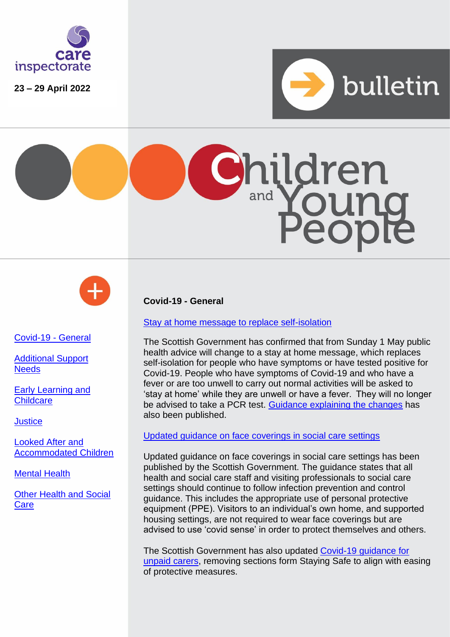

**23 – 29 April 2022**







<span id="page-0-0"></span>[Covid-19 -](#page-0-0) General

[Additional Support](#page-0-1)  **[Needs](#page-0-1)** 

Early Learning and **Childcare** 

**[Justice](#page-2-0)** 

[Looked After and](#page-3-0)  [Accommodated Children](#page-3-0)

[Mental Health](#page-3-1)

[Other Health and Social](#page-3-2)  **[Care](#page-3-2)** 

<span id="page-0-1"></span>**Covid-19 - General**

[Stay at home message to replace self-isolation](https://www.gov.scot/news/new-stay-at-home-guidance-published/)

The Scottish Government has confirmed that from Sunday 1 May public health advice will change to a stay at home message, which replaces self-isolation for people who have symptoms or have tested positive for Covid-19. People who have symptoms of Covid-19 and who have a fever or are too unwell to carry out normal activities will be asked to 'stay at home' while they are unwell or have a fever.  They will no longer be advised to take a PCR test. [Guidance explaining the changes](https://www.gov.scot/publications/coronavirus-covid-19-getting-tested/) has also been published.

## [Updated guidance on face coverings in social care settings](https://www.gov.scot/publications/coronavirus-covid-19-use-of-face-coverings-in-social-care-settings-including-adult-care-homes/pages/overview/)

Updated guidance on face coverings in social care settings has been published by the Scottish Government. The guidance states that all health and social care staff and visiting professionals to social care settings should continue to follow infection prevention and control guidance. This includes the appropriate use of personal protective equipment (PPE). Visitors to an individual's own home, and supported housing settings, are not required to wear face coverings but are advised to use 'covid sense' in order to protect themselves and others.

The Scottish Government has also updated Covid-19 quidance for [unpaid carers,](https://www.gov.scot/publications/coronavirus-covid-19-advice-for-unpaid-carers/) removing sections form Staying Safe to align with easing of protective measures.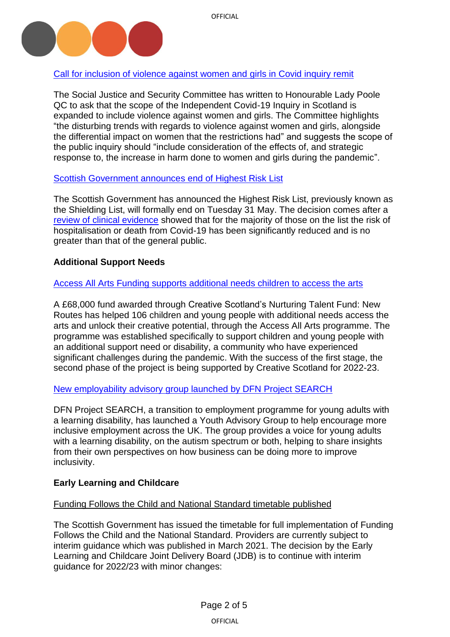

# [Call for inclusion of violence against women and girls in Covid inquiry remit](https://www.parliament.scot/-/media/files/committees/social-justice-and-social-security-committee/correspondence/2022/20220425_letter-to-hon-lady-poole_chair-scottish-covid19-inquiry.pdf)

The Social Justice and Security Committee has written to Honourable Lady Poole QC to ask that the scope of the Independent Covid-19 Inquiry in Scotland is expanded to include violence against women and girls. The Committee highlights "the disturbing trends with regards to violence against women and girls, alongside the differential impact on women that the restrictions had" and suggests the scope of the public inquiry should "include consideration of the effects of, and strategic response to, the increase in harm done to women and girls during the pandemic".

## [Scottish Government announces](https://www.gov.scot/news/end-of-the-highest-risk-list/) end of Highest Risk List

The Scottish Government has announced the Highest Risk List, previously known as the Shielding List, will formally end on Tuesday 31 May. The decision comes after a [review of clinical evidence](https://www.gov.scot/publications/review-evidence-scottish-government-advice-people-scotlands-highest-risk-list/) showed that for the majority of those on the list the risk of hospitalisation or death from Covid-19 has been significantly reduced and is no greater than that of the general public.

# **Additional Support Needs**

## [Access All Arts Funding supports additional needs children to access the arts](https://childreninscotland.org.uk/new-fund-supports-106-young-people-with-additional-support-needs-to-access-the-arts-and-unlock-their-creative-potential/)

A £68,000 fund awarded through Creative Scotland's Nurturing Talent Fund: New Routes has helped 106 children and young people with additional needs access the arts and unlock their creative potential, through the Access All Arts programme. The programme was established specifically to support children and young people with an additional support need or disability, a community who have experienced significant challenges during the pandemic. With the success of the first stage, the second phase of the project is being supported by Creative Scotland for 2022-23.

[New employability advisory group launched](https://www.learningdisabilitytoday.co.uk/young-adults-with-a-learning-disability-launch-employment-advisory-group?utm_source=https%3a%2f%2fnews.pavpub.com%2fpavilionpublishingandmedialz%2f&utm_medium=GatorMail&utm_campaign=LDT+27%2f04%2f22&utm_term=Government+broke+law+by+failing+to+protect+disabled+care+home+residents+during+pandemic+&utm_content=210951&gator_td=MDLn%2fegJZriax6yhTnB3fOvI37bxqEk0TSJP26P0ebN%2b9%2b69gxjsTlgTiWHUNY3DuGsZ5s6WO9fJ0713GqzMTP80JfjzRNumOmatU3JUgBYMIYt6SSUGEQVJR3nMZhG%2bmTk7OGOfldyMYZiW6kzv6T1NPEASgaNR4dR73PGMFa0kmy3T%2fVfXngKN4hBTWZTU) by DFN Project SEARCH

DFN Project SEARCH, a transition to employment programme for young adults with a learning disability, has launched a Youth Advisory Group to help encourage more inclusive employment across the UK. The group provides a voice for young adults with a learning disability, on the autism spectrum or both, helping to share insights from their own perspectives on how business can be doing more to improve inclusivity.

# **Early Learning and Childcare**

## Funding Follows the Child and National Standard timetable published

The Scottish Government has issued the timetable for full implementation of Funding Follows the Child and the National Standard. Providers are currently subject to interim guidance which was published in March 2021. The decision by the Early Learning and Childcare Joint Delivery Board (JDB) is to continue with interim guidance for 2022/23 with minor changes: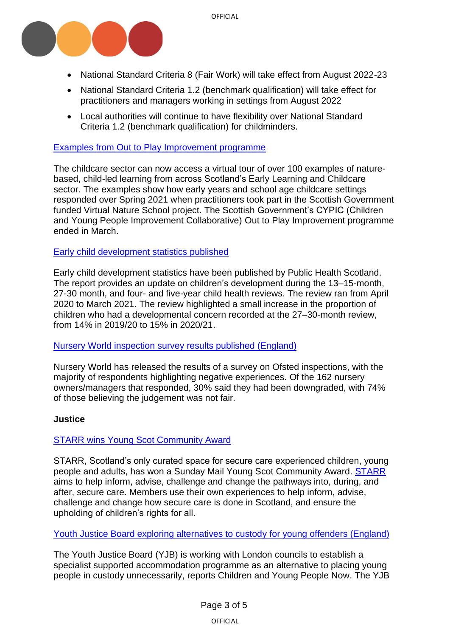

- National Standard Criteria 8 (Fair Work) will take effect from August 2022-23
- National Standard Criteria 1.2 (benchmark qualification) will take effect for practitioners and managers working in settings from August 2022
- Local authorities will continue to have flexibility over National Standard Criteria 1.2 (benchmark qualification) for childminders.

## Examples from Out to [Play Improvement programme](https://careinspectoratecloud.sharepoint.com/sites/Policy/Policy%20Documents/Short-life%20work/Bulletins/Children%20and%20Young%20People/April/The%20Scottish%20Government’s%20CYPIC%20(Children%20and%20Young%20People%20Improvement%20Collaborative)%20Out%20to%20Play%20Improve%20programme%20ended%20in%20March.)

The childcare sector can now access a virtual tour of over 100 examples of naturebased, child-led learning from across Scotland's Early Learning and Childcare sector. The examples show how early years and school age childcare settings responded over Spring 2021 when practitioners took part in the Scottish Government funded Virtual Nature School project. The Scottish Government's CYPIC (Children and Young People Improvement Collaborative) Out to Play Improvement programme ended in March.

## [Early child development](https://publichealthscotland.scot/publications/early-child-development/early-child-development-statistics-scotland-2020-to-2021/) statistics published

Early child development statistics have been published by Public Health Scotland. The report provides an update on children's development during the 13–15-month, 27-30 month, and four- and five-year child health reviews. The review ran from April 2020 to March 2021. The review highlighted a small increase in the proportion of children who had a developmental concern recorded at the 27–30-month review, from 14% in 2019/20 to 15% in 2020/21.

#### Nursery World inspection [survey results published \(England\)](https://www.nurseryworld.co.uk/news/article/analysis-settings-raise-concerns-after-bad-inspection-experiences-nursery-world-survey)

Nursery World has released the results of a survey on Ofsted inspections, with the majority of respondents highlighting negative experiences. Of the 162 nursery owners/managers that responded, 30% said they had been downgraded, with 74% of those believing the judgement was not fair.

#### <span id="page-2-0"></span>**Justice**

## [STARR wins Young Scot Community Award](https://www.cycj.org.uk/news/young-scot-community-award-win-for-starr/)

STARR, Scotland's only curated space for secure care experienced children, young people and adults, has won a Sunday Mail Young Scot Community Award. [STARR](https://www.cycj.org.uk/what-we-do/starr/) aims to help inform, advise, challenge and change the pathways into, during, and after, secure care. Members use their own experiences to help inform, advise, challenge and change how secure care is done in Scotland, and ensure the upholding of children's rights for all.

#### [Youth Justice Board exploring alternatives to custody](https://www.cypnow.co.uk/news/article/yjb-to-pilot-supported-accommodation-scheme-for-children-in-custody) for young offenders (England)

The Youth Justice Board (YJB) is working with London councils to establish a specialist supported accommodation programme as an alternative to placing young people in custody unnecessarily, reports Children and Young People Now. The YJB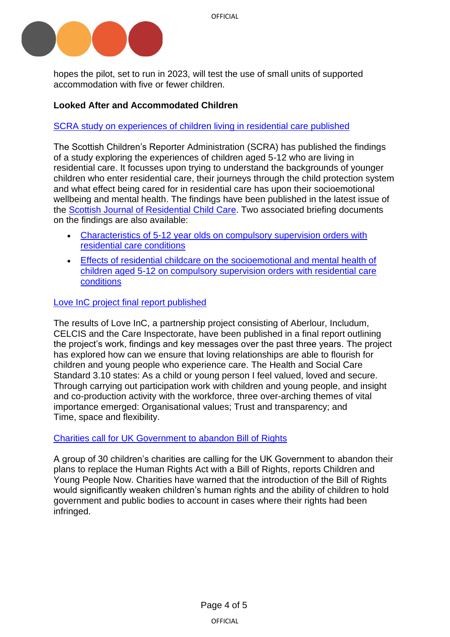

hopes the pilot, set to run in 2023, will test the use of small units of supported accommodation with five or fewer children.

# <span id="page-3-2"></span><span id="page-3-0"></span>**Looked After and Accommodated Children**

## [SCRA study on experiences of children living in residential care published](https://www.scra.gov.uk/2022/04/exploring-the-experience-of-children-aged-5-12-who-are-living-in-residential-care/)

The Scottish Children's Reporter Administration (SCRA) has published the findings of a study exploring the experiences of children aged 5-12 who are living in residential care. It focusses upon trying to understand the backgrounds of younger children who enter residential care, their journeys through the child protection system and what effect being cared for in residential care has upon their socioemotional wellbeing and mental health. The findings have been published in the latest issue of the [Scottish Journal of Residential Child Care.](https://www.celcis.org/application/files/7616/5055/3323/2022_Vol_21_No_1_Nixon_C_Henderson_G_The_provision_of_residential_care_to_children_under_the_age_of_12_how_is_it_used_and_is_it_effective.pdf) Two associated briefing documents on the findings are also available:

- [Characteristics of 5-12 year olds on compulsory supervision orders with](https://www.scra.gov.uk/wp-content/uploads/2022/04/Summary-Briefing-Document-1.pdf)  [residential care conditions](https://www.scra.gov.uk/wp-content/uploads/2022/04/Summary-Briefing-Document-1.pdf)
- [Effects of residential childcare on the socioemotional and mental health of](https://www.scra.gov.uk/wp-content/uploads/2022/04/Summary-Briefing-Document-2.pdf)  [children aged 5-12 on compulsory supervision orders with residential care](https://www.scra.gov.uk/wp-content/uploads/2022/04/Summary-Briefing-Document-2.pdf)  [conditions](https://www.scra.gov.uk/wp-content/uploads/2022/04/Summary-Briefing-Document-2.pdf)

## [Love InC project final report published](https://www.aberlour.org.uk/wp-content/uploads/2022/04/Love-InC-Project-Final-Report_April-2022.pdf)

The results of Love InC, a partnership project consisting of Aberlour, Includum, CELCIS and the Care Inspectorate, have been published in a final report outlining the project's work, findings and key messages over the past three years. The project has explored how can we ensure that loving relationships are able to flourish for children and young people who experience care. The Health and Social Care Standard 3.10 states: As a child or young person I feel valued, loved and secure. Through carrying out participation work with children and young people, and insight and co-production activity with the workforce, three over-arching themes of vital importance emerged: Organisational values; Trust and transparency; and Time, space and flexibility.

## [Charities call for UK Government to abandon](https://www.cypnow.co.uk/news/article/abandon-plans-for-bill-of-rights-government-urged) Bill of Rights

<span id="page-3-1"></span>A group of 30 children's charities are calling for the UK Government to abandon their plans to replace the Human Rights Act with a Bill of Rights, reports Children and Young People Now. Charities have warned that the introduction of the Bill of Rights would significantly weaken children's human rights and the ability of children to hold government and public bodies to account in cases where their rights had been infringed.